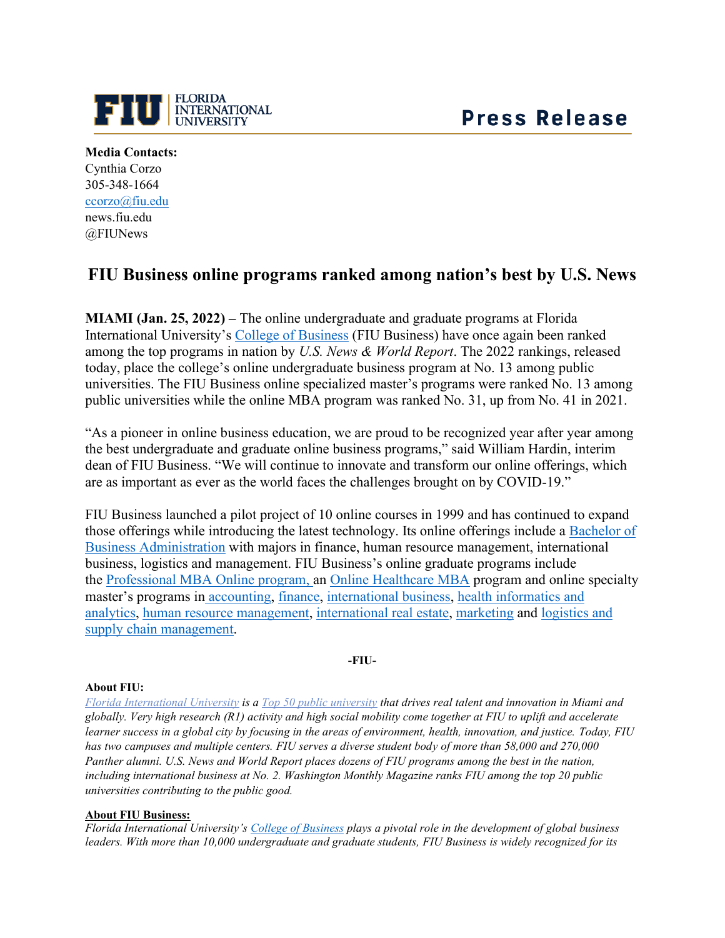

**Media Contacts:** Cynthia Corzo 305-348-1664 [ccorzo@fiu.edu](mailto:ccorzo@fiu.edu) news.fiu.edu @FIUNews

## **FIU Business online programs ranked among nation's best by U.S. News**

**MIAMI (Jan. 25, 2022) –** The online undergraduate and graduate programs at Florida International University's [College of Business](https://business.fiu.edu/) (FIU Business) have once again been ranked among the top programs in nation by *U.S. News & World Report*. The 2022 rankings, released today, place the college's online undergraduate business program at No. 13 among public universities. The FIU Business online specialized master's programs were ranked No. 13 among public universities while the online MBA program was ranked No. 31, up from No. 41 in 2021.

"As a pioneer in online business education, we are proud to be recognized year after year among the best undergraduate and graduate online business programs," said William Hardin, interim dean of FIU Business. "We will continue to innovate and transform our online offerings, which are as important as ever as the world faces the challenges brought on by COVID-19."

FIU Business launched a pilot project of 10 online courses in 1999 and has continued to expand those offerings while introducing the latest technology. Its online offerings include a [Bachelor of](https://business.fiu.edu/undergraduate/index.cfm)  [Business Administration](https://business.fiu.edu/undergraduate/index.cfm) with majors in finance, human resource management, international business, logistics and management. FIU Business's online graduate programs include the [Professional MBA Online program, a](https://business.fiu.edu/graduate/online-mba/index.cfm)n [Online Healthcare MBA](https://business.fiu.edu/graduate/healthcare-mba-online/index.cfm) program and online specialty master's programs in [accounting,](https://business.fiu.edu/graduate/accounting/index.cfm) [finance,](https://business.fiu.edu/graduate/finance/index.cfm) [international business,](https://fiuonline.fiu.edu/programs/online-graduate-degrees/master-of-international-business.php) [health informatics and](https://business.fiu.edu/graduate/health-informatics-and-analytics/index.cfm)  [analytics,](https://business.fiu.edu/graduate/health-informatics-and-analytics/index.cfm) [human resource management,](https://fiuonline.fiu.edu/programs/online-graduate-degrees/master-of-science-in-human-resource-management.php) [international real estate,](https://business.fiu.edu/graduate/international-real-estate-online/index.cfm) [marketing](https://business.fiu.edu/graduate/ms-in-marketing-online/index.cfm) and [logistics and](https://business.fiu.edu/graduate/logistics-and-supply-chain-management-online/index.cfm)  [supply chain management.](https://business.fiu.edu/graduate/logistics-and-supply-chain-management-online/index.cfm)

**-FIU-**

## **About FIU:**

*[Florida International University](https://www.fiu.edu/) is a [Top 50 public university](https://top50.fiu.edu/?gclid=Cj0KCQiA962BBhCzARIsAIpWEL34UUwYSIS9W6LcNBB1MPDGbQKCN6kIOn1J9TcPsJtiQuGkaC1oESsaAjjjEALw_wcB) that drives real talent and innovation in Miami and globally. Very high research (R1) activity and high social mobility come together at FIU to uplift and accelerate learner success in a global city by focusing in the areas of environment, health, innovation, and justice. Today, FIU has two campuses and multiple centers. FIU serves a diverse student body of more than 58,000 and 270,000 Panther alumni. U.S. News and World Report places dozens of FIU programs among the best in the nation, including international business at No. 2. Washington Monthly Magazine ranks FIU among the top 20 public universities contributing to the public good.*

## **About FIU Business:**

*Florida International University's [College of Business](https://business.fiu.edu/index.cfm) plays a pivotal role in the development of global business leaders. With more than 10,000 undergraduate and graduate students, FIU Business is widely recognized for its*